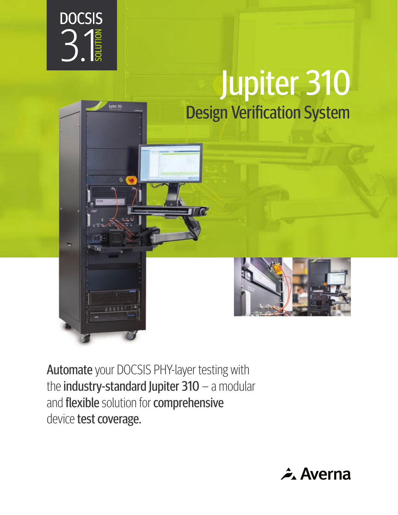

piter 310

# Jupiter 310 **Design Verification System**



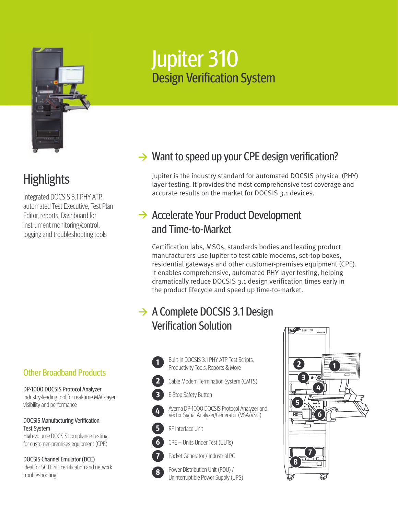

# **Highlights**

Integrated DOCSIS 3.1 PHY ATP, automated Test Executive, Test Plan Editor, reports, Dashboard for instrument monitoring/control, logging and troubleshooting tools

#### Other Broadband Products

DP-1000 DOCSIS Protocol Analyzer Industry-leading tool for real-time MAC-layer visibility and performance

DOCSIS Manufacturing Verification Test System High-volume DOCSIS compliance testing

for customer-premises equipment (CPE)

DOCSIS Channel Emulator (DCE) Ideal for SCTF 40 certification and network troubleshooting

# Jupiter 310 **Design Verification System**

## $\rightarrow$  Want to speed up your CPE design verification?

Jupiter is the industry standard for automated DOCSIS physical (PHY) layer testing. It provides the most comprehensive test coverage and accurate results on the market for DOCSIS 3.1 devices.

### $\rightarrow$  Accelerate Your Product Development and Time-to-Market

Certification labs, MSOs, standards bodies and leading product manufacturers use Jupiter to test cable modems, set-top boxes, residential gateways and other customer-premises equipment (CPE). It enables comprehensive, automated PHY layer testing, helping dramatically reduce DOCSIS 3.1 design verification times early in the product lifecycle and speed up time-to-market.

### $\rightarrow$  A Complete DOCSIS 3.1 Design **Verification Solution**

Built-in DOCSIS 3.1 PHY ATP Test Scripts, Productivity Tools, Reports & More

- **1 2 3 4**
	- Cable Modem Termination System (CMTS)
		- E-Stop Safety Button
		- Averna DP-1000 DOCSIS Protocol Analyzer and Vector Signal Analyzer/Generator (VSA/VSG)



CPE – Units Under Test (UUTs)

RF Interface Unit



**8**

Packet Generator / Industrial PC

Power Distribution Unit (PDU) / Uninterruptible Power Supply (UPS)

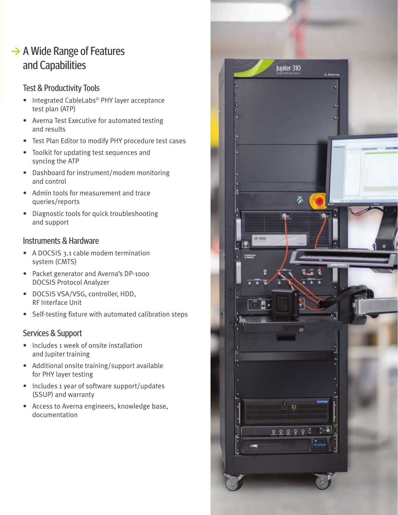### $\rightarrow$  A Wide Range of Features and Capabilities

#### Test & Productivity Tools

- Integrated CableLabs© PHY layer acceptance test plan (ATP)
- Averna Test Executive for automated testing and results
- Test Plan Editor to modify PHY procedure test cases
- Toolkit for updating test sequences and syncing the ATP
- Dashboard for instrument/modem monitoring and control
- Admin tools for measurement and trace queries/reports
- Diagnostic tools for quick troubleshooting and support

#### Instruments & Hardware

- A DOCSIS 3.1 cable modem termination system (CMTS)
- Packet generator and Averna's DP-1000 DOCSIS Protocol Analyzer
- DOCSIS VSA/VSG, controller, HDD, RF Interface Unit
- Self-testing fixture with automated calibration steps

#### Services & Support

- Includes 1 week of onsite installation and Jupiter training
- Additional onsite training/support available for PHY layer testing
- Includes 1 year of software support/updates (SSUP) and warranty
- Access to Averna engineers, knowledge base, documentation